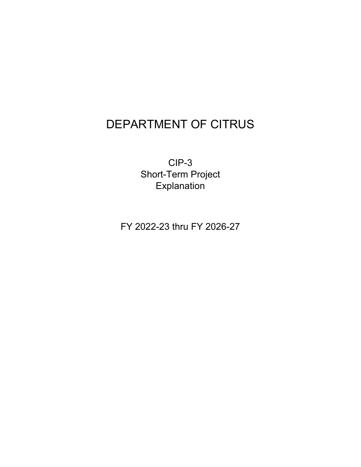## DEPARTMENT OF CITRUS

CIP-3 Short-Term Project **Explanation** 

FY 2022-23 thru FY 2026-27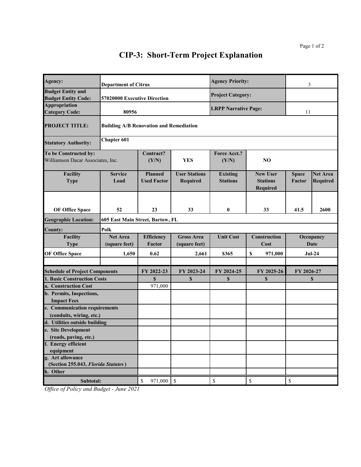## **CIP-3: Short-Term Project Explanation**

| Agency:                                                    | <b>Department of Citrus</b>                    |                                      |                                    | <b>Agency Priority:</b>            |                                                                       | 3                                                                     |                                    |  |  |
|------------------------------------------------------------|------------------------------------------------|--------------------------------------|------------------------------------|------------------------------------|-----------------------------------------------------------------------|-----------------------------------------------------------------------|------------------------------------|--|--|
| <b>Budget Entity and</b><br><b>Budget Entity Code:</b>     | 57020000 Executive Direction                   |                                      |                                    | <b>Project Category:</b>           |                                                                       |                                                                       |                                    |  |  |
| Appropriation<br><b>Category Code:</b>                     | 80956                                          |                                      |                                    | <b>LRPP Narrative Page:</b>        |                                                                       | 11                                                                    |                                    |  |  |
| <b>PROJECT TITLE:</b>                                      | <b>Building A/B Renovation and Remediation</b> |                                      |                                    |                                    |                                                                       |                                                                       |                                    |  |  |
| <b>Statutory Authority:</b>                                | <b>Chapter 601</b>                             |                                      |                                    |                                    |                                                                       |                                                                       |                                    |  |  |
| To be Constructed by:<br>Williamson Dacar Associates, Inc. |                                                | Contract?<br>(Y/N)                   | <b>YES</b>                         | <b>Force Acct.?</b><br>(Y/N)       | NO                                                                    |                                                                       |                                    |  |  |
| Facility<br><b>Type</b>                                    | <b>Service</b><br>Load                         | <b>Planned</b><br><b>Used Factor</b> | <b>User Stations</b><br>Required   | <b>Existing</b><br><b>Stations</b> | <b>New User</b><br><b>Stations</b><br>Required                        | <b>Space</b><br>Factor                                                | <b>Net Area</b><br><b>Required</b> |  |  |
| <b>OF Office Space</b>                                     | 52                                             | 23                                   | 33                                 | $\bf{0}$                           | 33                                                                    | 41.5                                                                  | 2600                               |  |  |
| <b>Geographic Location:</b>                                | 605 East Main Street, Bartow, FL               |                                      |                                    |                                    |                                                                       |                                                                       |                                    |  |  |
| <b>County:</b>                                             | Polk                                           |                                      |                                    |                                    |                                                                       |                                                                       |                                    |  |  |
| Facility<br><b>Type</b>                                    | <b>Net Area</b><br>(square feet)               | <b>Efficiency</b><br>Factor          | <b>Gross Area</b><br>(square feet) | <b>Unit Cost</b>                   | <b>Construction</b><br>Cost                                           | Occupancy<br><b>Date</b>                                              |                                    |  |  |
| <b>OF Office Space</b>                                     | 1,650                                          | 0.62                                 | 2,661                              | \$365                              | \$<br>971,000                                                         | $Jul-24$                                                              |                                    |  |  |
| <b>Schedule of Project Components</b>                      |                                                | FY 2022-23                           | FY 2023-24                         | FY 2024-25                         | FY 2025-26                                                            | FY 2026-27                                                            |                                    |  |  |
| <b>1. Basic Construction Costs</b>                         |                                                | \$                                   | \$                                 | \$                                 | \$                                                                    | \$                                                                    |                                    |  |  |
| a. Construction Cost                                       |                                                | 971,000                              |                                    |                                    |                                                                       |                                                                       |                                    |  |  |
| b. Permits, Inspections,                                   |                                                |                                      |                                    |                                    |                                                                       |                                                                       |                                    |  |  |
| <b>Impact Fees</b><br>c. Communication requirements        |                                                |                                      |                                    |                                    |                                                                       |                                                                       |                                    |  |  |
| (conduits, wiring, etc.)                                   |                                                |                                      |                                    |                                    |                                                                       |                                                                       |                                    |  |  |
| d. Utilities outside building                              |                                                |                                      |                                    |                                    |                                                                       |                                                                       |                                    |  |  |
| e. Site Development                                        |                                                |                                      |                                    |                                    |                                                                       |                                                                       |                                    |  |  |
| (roads, paving, etc.)                                      |                                                |                                      |                                    |                                    |                                                                       |                                                                       |                                    |  |  |
| f. Energy efficient                                        |                                                |                                      |                                    |                                    |                                                                       |                                                                       |                                    |  |  |
| equipment<br>g. Art allowance                              |                                                |                                      |                                    |                                    |                                                                       |                                                                       |                                    |  |  |
| (Section 255.043, Florida Statutes)                        |                                                |                                      |                                    |                                    |                                                                       |                                                                       |                                    |  |  |
| h. Other                                                   |                                                |                                      |                                    |                                    |                                                                       |                                                                       |                                    |  |  |
| Subtotal:                                                  |                                                | \$<br>971,000                        | $\mathbb{S}$                       | \$                                 | $\mathbb{S}% _{t}\left( t\right) \equiv\mathbb{S}_{t}\left( t\right)$ | $\mathbb{S}% _{t}\left( t\right) \equiv\mathbb{S}_{t}\left( t\right)$ |                                    |  |  |

*Office of Policy and Budget - June 2021*